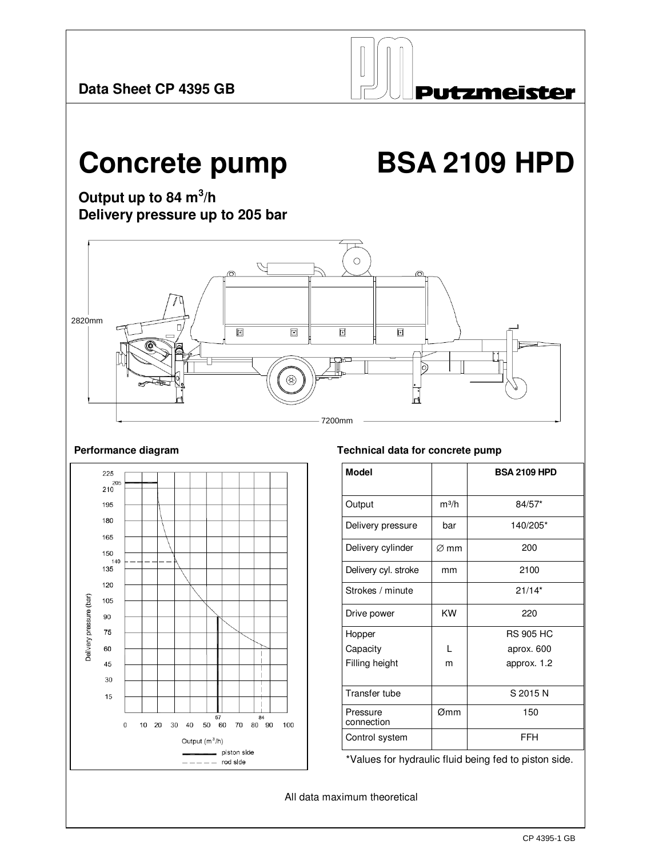

# Concrete pump BSA 2109 HPD

**Output up to 84 m<sup>3</sup> /h Delivery pressure up to 205 bar** 





## **Performance diagram**  Technical data for concrete pump

| <b>Model</b>           |         | <b>BSA 2109 HPD</b> |
|------------------------|---------|---------------------|
| Output                 | $m^3/h$ | 84/57*              |
| Delivery pressure      | bar     | 140/205*            |
| Delivery cylinder      | ∅ mm    | 200                 |
| Delivery cyl. stroke   | mm      | 2100                |
| Strokes / minute       |         | $21/14*$            |
| Drive power            | KW      | 220                 |
| Hopper                 |         | <b>RS 905 HC</b>    |
| Capacity               | L       | aprox. 600          |
| Filling height         | m       | approx. 1.2         |
| Transfer tube          |         | S 2015 N            |
| Pressure<br>connection | Ømm     | 150                 |
| Control system         |         | FFH                 |

\*Values for hydraulic fluid being fed to piston side.

All data maximum theoretical